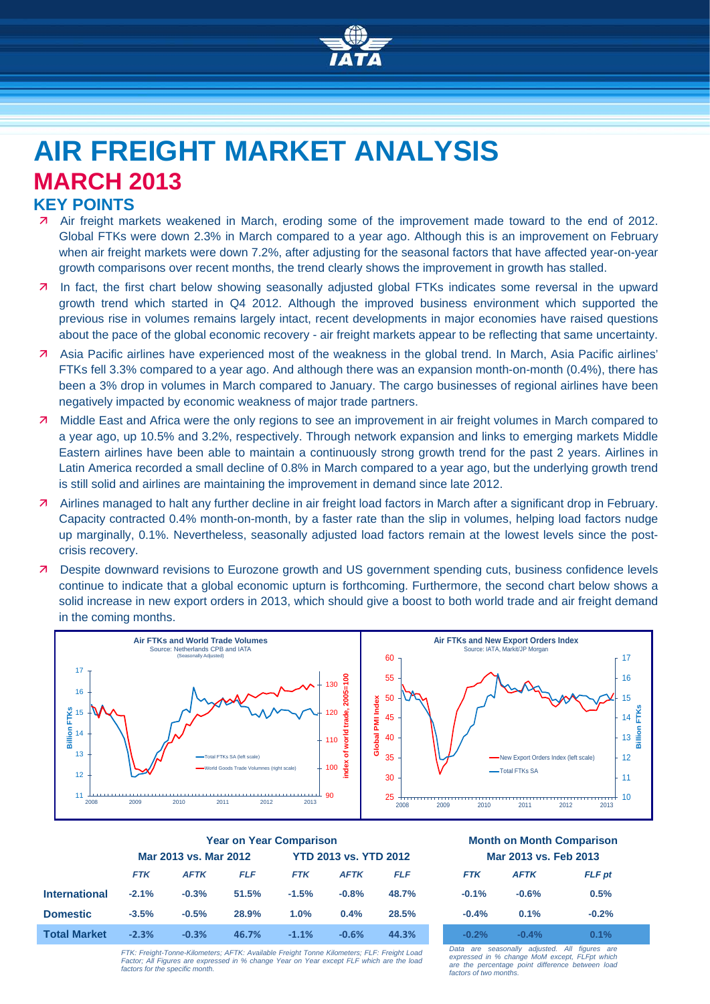

# **AIR FREIGHT MARKET ANALYSIS MARCH 2013**

## **KEY POINTS**

- Air freight markets weakened in March, eroding some of the improvement made toward to the end of 2012. Global FTKs were down 2.3% in March compared to a year ago. Although this is an improvement on February when air freight markets were down 7.2%, after adjusting for the seasonal factors that have affected year-on-year growth comparisons over recent months, the trend clearly shows the improvement in growth has stalled.
- In fact, the first chart below showing seasonally adjusted global FTKs indicates some reversal in the upward growth trend which started in Q4 2012. Although the improved business environment which supported the previous rise in volumes remains largely intact, recent developments in major economies have raised questions about the pace of the global economic recovery - air freight markets appear to be reflecting that same uncertainty.
- Asia Pacific airlines have experienced most of the weakness in the global trend. In March, Asia Pacific airlines' FTKs fell 3.3% compared to a year ago. And although there was an expansion month-on-month (0.4%), there has been a 3% drop in volumes in March compared to January. The cargo businesses of regional airlines have been negatively impacted by economic weakness of major trade partners.
- Middle East and Africa were the only regions to see an improvement in air freight volumes in March compared to a year ago, up 10.5% and 3.2%, respectively. Through network expansion and links to emerging markets Middle Eastern airlines have been able to maintain a continuously strong growth trend for the past 2 years. Airlines in Latin America recorded a small decline of 0.8% in March compared to a year ago, but the underlying growth trend is still solid and airlines are maintaining the improvement in demand since late 2012.
- Airlines managed to halt any further decline in air freight load factors in March after a significant drop in February. Capacity contracted 0.4% month-on-month, by a faster rate than the slip in volumes, helping load factors nudge up marginally, 0.1%. Nevertheless, seasonally adjusted load factors remain at the lowest levels since the postcrisis recovery.
- **7** Despite downward revisions to Eurozone growth and US government spending cuts, business confidence levels continue to indicate that a global economic upturn is forthcoming. Furthermore, the second chart below shows a solid increase in new export orders in 2013, which should give a boost to both world trade and air freight demand in the coming months.



|                     | <b>Year on Year Comparison</b> |             |            |                              |             | <b>Month on Month Comparisor</b> |                       |             |               |
|---------------------|--------------------------------|-------------|------------|------------------------------|-------------|----------------------------------|-----------------------|-------------|---------------|
|                     | Mar 2013 vs. Mar 2012          |             |            | <b>YTD 2013 vs. YTD 2012</b> |             |                                  | Mar 2013 vs. Feb 2013 |             |               |
|                     | <b>FTK</b>                     | <b>AFTK</b> | <b>FLF</b> | <b>FTK</b>                   | <b>AFTK</b> | <b>FLF</b>                       | <b>FTK</b>            | <b>AFTK</b> | <b>FLF</b> pt |
| International       | $-2.1%$                        | $-0.3%$     | 51.5%      | $-1.5%$                      | $-0.8%$     | 48.7%                            | $-0.1%$               | $-0.6%$     | 0.5%          |
| <b>Domestic</b>     | $-3.5%$                        | $-0.5%$     | 28.9%      | 1.0%                         | 0.4%        | 28.5%                            | $-0.4%$               | 0.1%        | $-0.2%$       |
| <b>Total Market</b> | $-2.3%$                        | $-0.3%$     | 46.7%      | $-1.1%$                      | $-0.6%$     | 44.3%                            | $-0.2%$               | $-0.4\%$    | 0.1%          |

# **Year on Year Comparison Month on Month Comparison Mar 2013 vs. Feb 2013**

| <b>FTK</b> | <b>AFTK</b> | <b>FLF</b> pt |
|------------|-------------|---------------|
| $-0.1%$    | $-0.6%$     | 0.5%          |
| $-0.4%$    | 0.1%        | $-0.2%$       |
| -02        | $-0.70$     |               |

*FTK: Freight-Tonne-Kilometers; AFTK: Available Freight Tonne Kilometers; FLF: Freight Load Factor; All Figures are expressed in % change Year on Year except FLF which are the load factors for the specific month.*

*Data are seasonally adjusted. All figures are expressed in % change MoM except, FLFpt which*  are the percentage point difference between load *factors of two months.*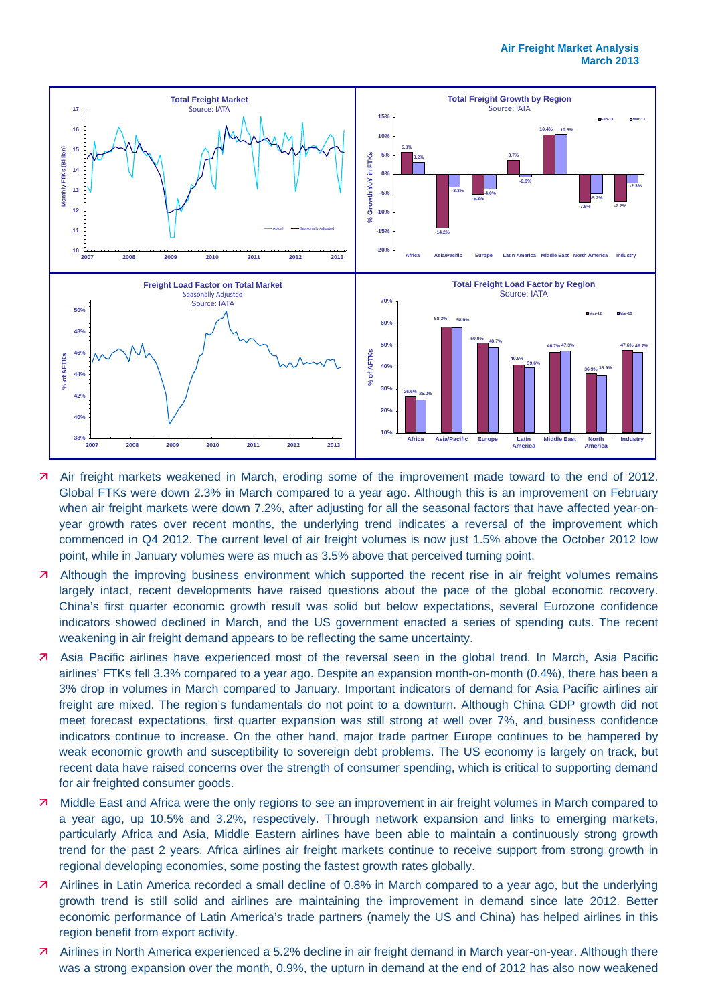

- Air freight markets weakened in March, eroding some of the improvement made toward to the end of 2012. Global FTKs were down 2.3% in March compared to a year ago. Although this is an improvement on February when air freight markets were down 7.2%, after adjusting for all the seasonal factors that have affected year-onyear growth rates over recent months, the underlying trend indicates a reversal of the improvement which commenced in Q4 2012. The current level of air freight volumes is now just 1.5% above the October 2012 low point, while in January volumes were as much as 3.5% above that perceived turning point.
- **Although the improving business environment which supported the recent rise in air freight volumes remains** largely intact, recent developments have raised questions about the pace of the global economic recovery. China's first quarter economic growth result was solid but below expectations, several Eurozone confidence indicators showed declined in March, and the US government enacted a series of spending cuts. The recent weakening in air freight demand appears to be reflecting the same uncertainty.
- Asia Pacific airlines have experienced most of the reversal seen in the global trend. In March, Asia Pacific airlines' FTKs fell 3.3% compared to a year ago. Despite an expansion month-on-month (0.4%), there has been a 3% drop in volumes in March compared to January. Important indicators of demand for Asia Pacific airlines air freight are mixed. The region's fundamentals do not point to a downturn. Although China GDP growth did not meet forecast expectations, first quarter expansion was still strong at well over 7%, and business confidence indicators continue to increase. On the other hand, major trade partner Europe continues to be hampered by weak economic growth and susceptibility to sovereign debt problems. The US economy is largely on track, but recent data have raised concerns over the strength of consumer spending, which is critical to supporting demand for air freighted consumer goods.
- Middle East and Africa were the only regions to see an improvement in air freight volumes in March compared to a year ago, up 10.5% and 3.2%, respectively. Through network expansion and links to emerging markets, particularly Africa and Asia, Middle Eastern airlines have been able to maintain a continuously strong growth trend for the past 2 years. Africa airlines air freight markets continue to receive support from strong growth in regional developing economies, some posting the fastest growth rates globally.
- Airlines in Latin America recorded a small decline of 0.8% in March compared to a year ago, but the underlying growth trend is still solid and airlines are maintaining the improvement in demand since late 2012. Better economic performance of Latin America's trade partners (namely the US and China) has helped airlines in this region benefit from export activity.
- Airlines in North America experienced a 5.2% decline in air freight demand in March year-on-year. Although there was a strong expansion over the month, 0.9%, the upturn in demand at the end of 2012 has also now weakened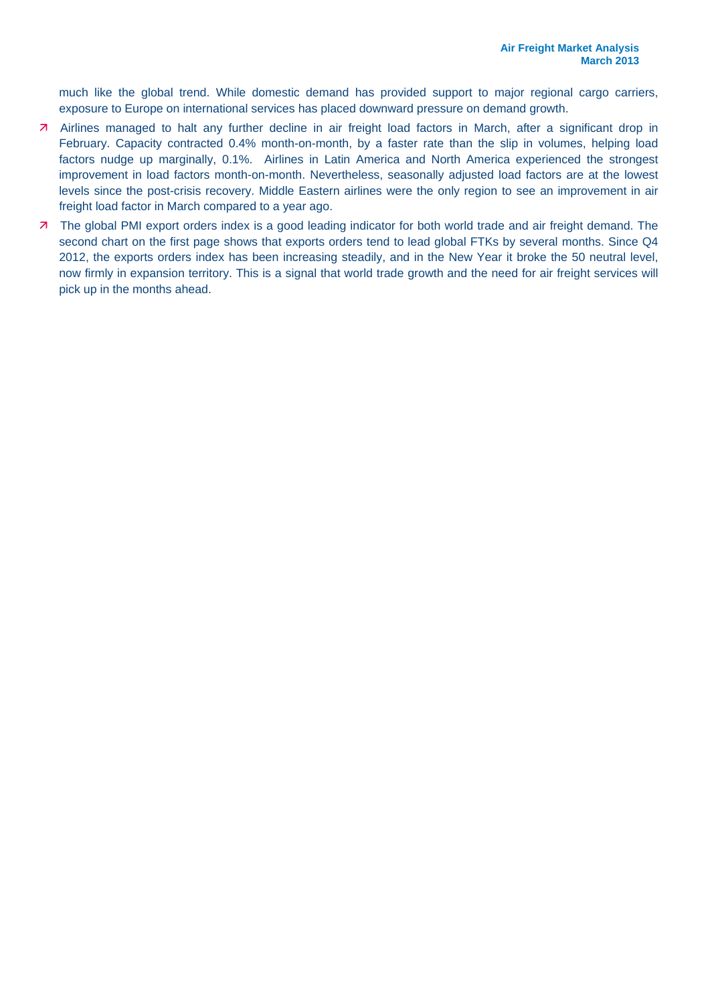much like the global trend. While domestic demand has provided support to major regional cargo carriers, exposure to Europe on international services has placed downward pressure on demand growth.

- Airlines managed to halt any further decline in air freight load factors in March, after a significant drop in February. Capacity contracted 0.4% month-on-month, by a faster rate than the slip in volumes, helping load factors nudge up marginally, 0.1%. Airlines in Latin America and North America experienced the strongest improvement in load factors month-on-month. Nevertheless, seasonally adjusted load factors are at the lowest levels since the post-crisis recovery. Middle Eastern airlines were the only region to see an improvement in air freight load factor in March compared to a year ago.
- 7 The global PMI export orders index is a good leading indicator for both world trade and air freight demand. The second chart on the first page shows that exports orders tend to lead global FTKs by several months. Since Q4 2012, the exports orders index has been increasing steadily, and in the New Year it broke the 50 neutral level, now firmly in expansion territory. This is a signal that world trade growth and the need for air freight services will pick up in the months ahead.